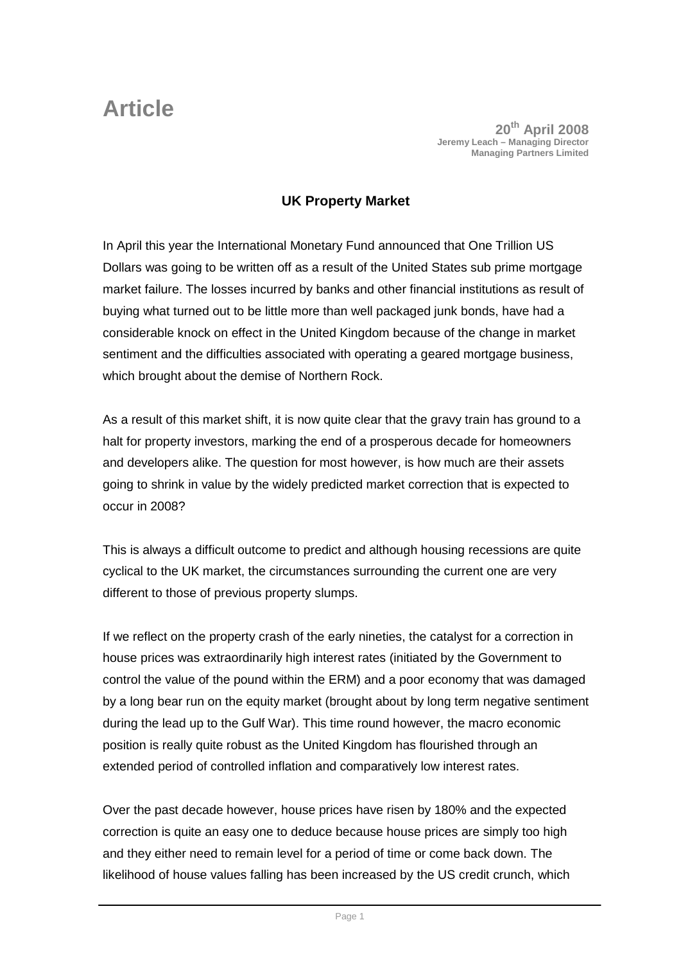**Article** 20<sup>th</sup> April 2008 **Jeremy Leach – Managing Director Managing Partners Limited**

## **UK Property Market**

In April this year the International Monetary Fund announced that One Trillion US Dollars was going to be written off as a result of the United States sub prime mortgage market failure. The losses incurred by banks and other financial institutions as result of buying what turned out to be little more than well packaged junk bonds, have had a considerable knock on effect in the United Kingdom because of the change in market sentiment and the difficulties associated with operating a geared mortgage business, which brought about the demise of Northern Rock.

As a result of this market shift, it is now quite clear that the gravy train has ground to a halt for property investors, marking the end of a prosperous decade for homeowners and developers alike. The question for most however, is how much are their assets going to shrink in value by the widely predicted market correction that is expected to occur in 2008?

This is always a difficult outcome to predict and although housing recessions are quite cyclical to the UK market, the circumstances surrounding the current one are very different to those of previous property slumps.

If we reflect on the property crash of the early nineties, the catalyst for a correction in house prices was extraordinarily high interest rates (initiated by the Government to control the value of the pound within the ERM) and a poor economy that was damaged by a long bear run on the equity market (brought about by long term negative sentiment during the lead up to the Gulf War). This time round however, the macro economic position is really quite robust as the United Kingdom has flourished through an extended period of controlled inflation and comparatively low interest rates.

Over the past decade however, house prices have risen by 180% and the expected correction is quite an easy one to deduce because house prices are simply too high and they either need to remain level for a period of time or come back down. The likelihood of house values falling has been increased by the US credit crunch, which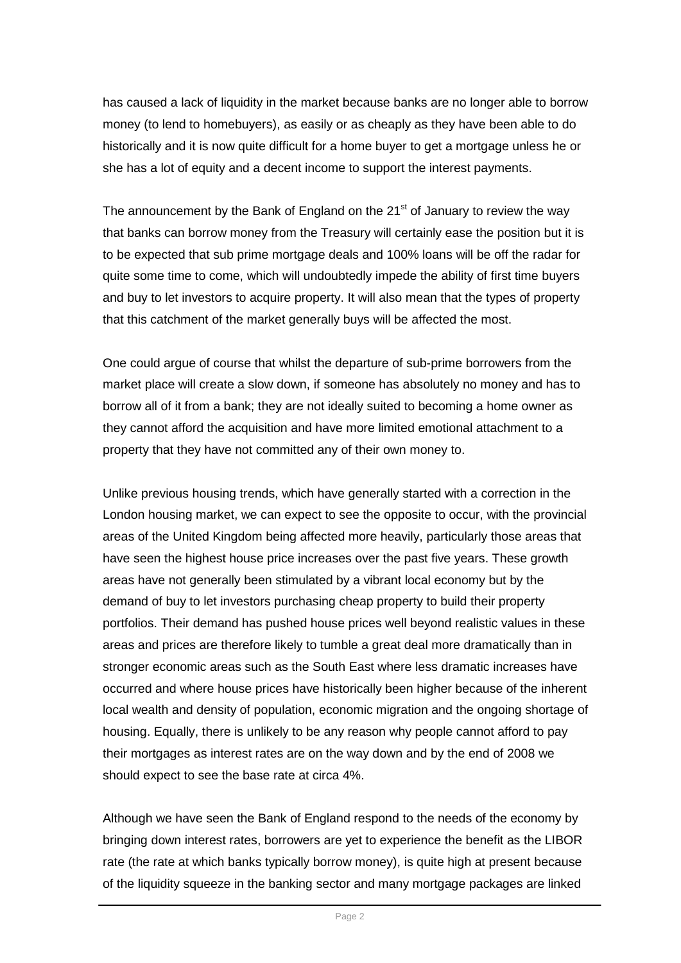has caused a lack of liquidity in the market because banks are no longer able to borrow money (to lend to homebuyers), as easily or as cheaply as they have been able to do historically and it is now quite difficult for a home buyer to get a mortgage unless he or she has a lot of equity and a decent income to support the interest payments.

The announcement by the Bank of England on the  $21<sup>st</sup>$  of January to review the way that banks can borrow money from the Treasury will certainly ease the position but it is to be expected that sub prime mortgage deals and 100% loans will be off the radar for quite some time to come, which will undoubtedly impede the ability of first time buyers and buy to let investors to acquire property. It will also mean that the types of property that this catchment of the market generally buys will be affected the most.

One could argue of course that whilst the departure of sub-prime borrowers from the market place will create a slow down, if someone has absolutely no money and has to borrow all of it from a bank; they are not ideally suited to becoming a home owner as they cannot afford the acquisition and have more limited emotional attachment to a property that they have not committed any of their own money to.

Unlike previous housing trends, which have generally started with a correction in the London housing market, we can expect to see the opposite to occur, with the provincial areas of the United Kingdom being affected more heavily, particularly those areas that have seen the highest house price increases over the past five years. These growth areas have not generally been stimulated by a vibrant local economy but by the demand of buy to let investors purchasing cheap property to build their property portfolios. Their demand has pushed house prices well beyond realistic values in these areas and prices are therefore likely to tumble a great deal more dramatically than in stronger economic areas such as the South East where less dramatic increases have occurred and where house prices have historically been higher because of the inherent local wealth and density of population, economic migration and the ongoing shortage of housing. Equally, there is unlikely to be any reason why people cannot afford to pay their mortgages as interest rates are on the way down and by the end of 2008 we should expect to see the base rate at circa 4%.

Although we have seen the Bank of England respond to the needs of the economy by bringing down interest rates, borrowers are yet to experience the benefit as the LIBOR rate (the rate at which banks typically borrow money), is quite high at present because of the liquidity squeeze in the banking sector and many mortgage packages are linked